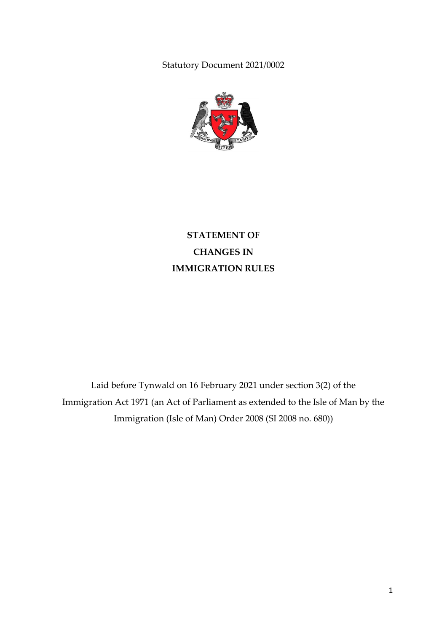Statutory Document 2021/0002



**STATEMENT OF CHANGES IN IMMIGRATION RULES**

Laid before Tynwald on 16 February 2021 under section 3(2) of the Immigration Act 1971 (an Act of Parliament as extended to the Isle of Man by the Immigration (Isle of Man) Order 2008 (SI 2008 no. 680))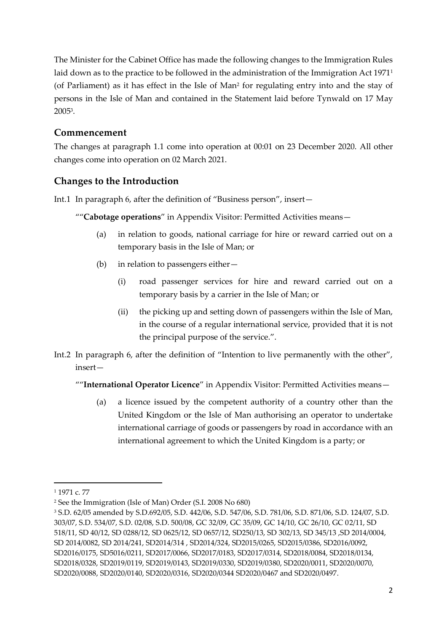The Minister for the Cabinet Office has made the following changes to the Immigration Rules laid down as to the practice to be followed in the administration of the Immigration Act 1971<sup>1</sup> (of Parliament) as it has effect in the Isle of Man<sup>2</sup> for regulating entry into and the stay of persons in the Isle of Man and contained in the Statement laid before Tynwald on 17 May 2005<sup>3</sup> .

## **Commencement**

The changes at paragraph 1.1 come into operation at 00:01 on 23 December 2020. All other changes come into operation on 02 March 2021.

# **Changes to the Introduction**

Int.1 In paragraph 6, after the definition of "Business person", insert—

""**Cabotage operations**" in Appendix Visitor: Permitted Activities means—

- (a) in relation to goods, national carriage for hire or reward carried out on a temporary basis in the Isle of Man; or
- (b) in relation to passengers either—
	- (i) road passenger services for hire and reward carried out on a temporary basis by a carrier in the Isle of Man; or
	- (ii) the picking up and setting down of passengers within the Isle of Man, in the course of a regular international service, provided that it is not the principal purpose of the service.".
- Int.2 In paragraph 6, after the definition of "Intention to live permanently with the other", insert—

""**International Operator Licence**" in Appendix Visitor: Permitted Activities means—

(a) a licence issued by the competent authority of a country other than the United Kingdom or the Isle of Man authorising an operator to undertake international carriage of goods or passengers by road in accordance with an international agreement to which the United Kingdom is a party; or

**.** 

<sup>1</sup> 1971 c. 77

<sup>2</sup> See the Immigration (Isle of Man) Order (S.I. 2008 No 680)

<sup>3</sup> S.D. 62/05 amended by S.D.692/05, S.D. 442/06, S.D. 547/06, S.D. 781/06, S.D. 871/06, S.D. 124/07, S.D. 303/07, S.D. 534/07, S.D. 02/08, S.D. 500/08, GC 32/09, GC 35/09, GC 14/10, GC 26/10, GC 02/11, SD 518/11, SD 40/12, SD 0288/12, SD 0625/12, SD 0657/12, SD250/13, SD 302/13, SD 345/13 ,SD 2014/0004, SD 2014/0082, SD 2014/241, SD2014/314 , SD2014/324, SD2015/0265, SD2015/0386, SD2016/0092, SD2016/0175, SD5016/0211, SD2017/0066, SD2017/0183, SD2017/0314, SD2018/0084, SD2018/0134, SD2018/0328, SD2019/0119, SD2019/0143, SD2019/0330, SD2019/0380, SD2020/0011, SD2020/0070, SD2020/0088, SD2020/0140, SD2020/0316, SD2020/0344 SD2020/0467 and SD2020/0497.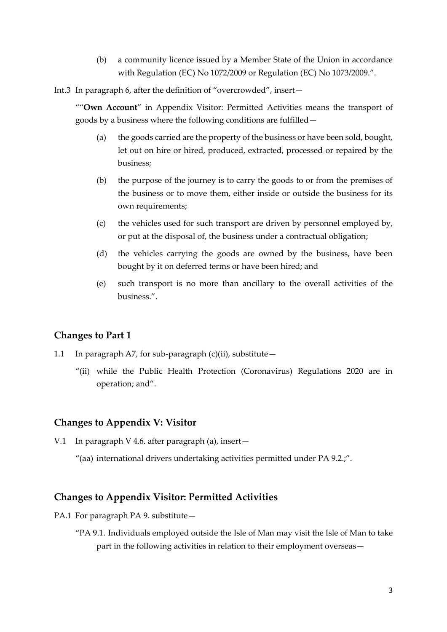(b) a community licence issued by a Member State of the Union in accordance with Regulation (EC) No 1072/2009 or Regulation (EC) No 1073/2009.".

Int.3 In paragraph 6, after the definition of "overcrowded", insert—

""**Own Account**" in Appendix Visitor: Permitted Activities means the transport of goods by a business where the following conditions are fulfilled—

- (a) the goods carried are the property of the business or have been sold, bought, let out on hire or hired, produced, extracted, processed or repaired by the business;
- (b) the purpose of the journey is to carry the goods to or from the premises of the business or to move them, either inside or outside the business for its own requirements;
- (c) the vehicles used for such transport are driven by personnel employed by, or put at the disposal of, the business under a contractual obligation;
- (d) the vehicles carrying the goods are owned by the business, have been bought by it on deferred terms or have been hired; and
- (e) such transport is no more than ancillary to the overall activities of the business.".

#### **Changes to Part 1**

- 1.1 In paragraph A7, for sub-paragraph  $(c)(ii)$ , substitute
	- "(ii) while the Public Health Protection (Coronavirus) Regulations 2020 are in operation; and".

#### **Changes to Appendix V: Visitor**

- V.1 In paragraph V 4.6. after paragraph (a), insert  $-$ 
	- "(aa) international drivers undertaking activities permitted under PA 9.2.;".

#### **Changes to Appendix Visitor: Permitted Activities**

- PA.1 For paragraph PA 9. substitute -
	- "PA 9.1. Individuals employed outside the Isle of Man may visit the Isle of Man to take part in the following activities in relation to their employment overseas—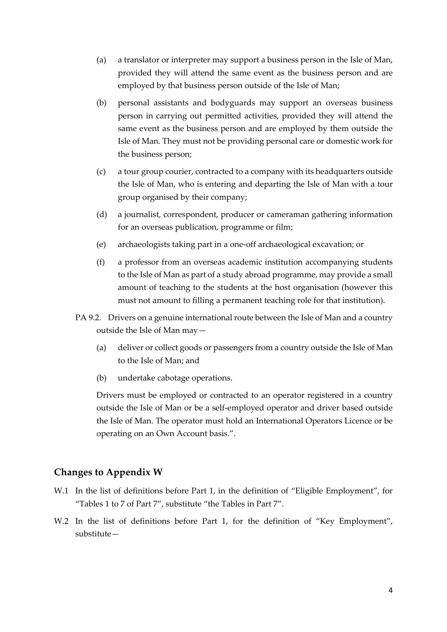- (a) a translator or interpreter may support a business person in the Isle of Man, provided they will attend the same event as the business person and are employed by that business person outside of the Isle of Man;
- (b) personal assistants and bodyguards may support an overseas business person in carrying out permitted activities, provided they will attend the same event as the business person and are employed by them outside the Isle of Man. They must not be providing personal care or domestic work for the business person;
- (c) a tour group courier, contracted to a company with its headquarters outside the Isle of Man, who is entering and departing the Isle of Man with a tour group organised by their company;
- (d) a journalist, correspondent, producer or cameraman gathering information for an overseas publication, programme or film;
- (e) archaeologists taking part in a one-off archaeological excavation; or
- (f) a professor from an overseas academic institution accompanying students to the Isle of Man as part of a study abroad programme, may provide a small amount of teaching to the students at the host organisation (however this must not amount to filling a permanent teaching role for that institution).
- PA 9.2. Drivers on a genuine international route between the Isle of Man and a country outside the Isle of Man may—
	- (a) deliver or collect goods or passengers from a country outside the Isle of Man to the Isle of Man; and
	- (b) undertake cabotage operations.

Drivers must be employed or contracted to an operator registered in a country outside the Isle of Man or be a self-employed operator and driver based outside the Isle of Man. The operator must hold an International Operators Licence or be operating on an Own Account basis.".

#### **Changes to Appendix W**

- W.1 In the list of definitions before Part 1, in the definition of "Eligible Employment", for "Tables 1 to 7 of Part 7", substitute "the Tables in Part 7".
- W.2 In the list of definitions before Part 1, for the definition of "Key Employment", substitute—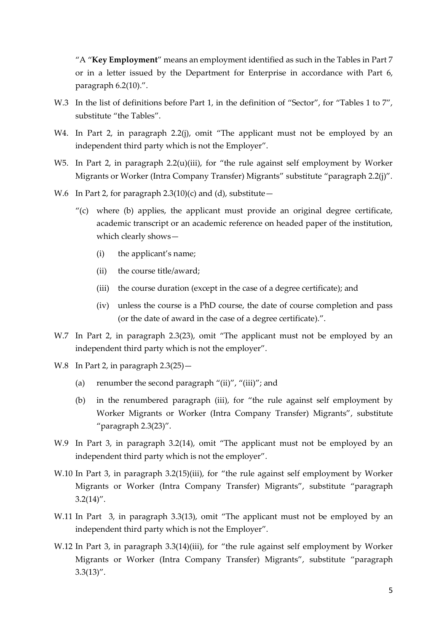"A "**Key Employment**" means an employment identified as such in the Tables in Part 7 or in a letter issued by the Department for Enterprise in accordance with Part 6, paragraph 6.2(10).".

- W.3 In the list of definitions before Part 1, in the definition of "Sector", for "Tables 1 to 7", substitute "the Tables".
- W4. In Part 2, in paragraph 2.2(j), omit "The applicant must not be employed by an independent third party which is not the Employer".
- W5. In Part 2, in paragraph 2.2(u)(iii), for "the rule against self employment by Worker Migrants or Worker (Intra Company Transfer) Migrants" substitute "paragraph 2.2(j)".
- W.6 In Part 2, for paragraph  $2.3(10)(c)$  and (d), substitute
	- $'(c)$  where (b) applies, the applicant must provide an original degree certificate, academic transcript or an academic reference on headed paper of the institution, which clearly shows—
		- (i) the applicant's name;
		- (ii) the course title/award;
		- (iii) the course duration (except in the case of a degree certificate); and
		- (iv) unless the course is a PhD course, the date of course completion and pass (or the date of award in the case of a degree certificate).".
- W.7 In Part 2, in paragraph 2.3(23), omit "The applicant must not be employed by an independent third party which is not the employer".
- W.8 In Part 2, in paragraph 2.3(25)—
	- (a) renumber the second paragraph " $(iii)$ ", " $(iiii)$ "; and
	- (b) in the renumbered paragraph (iii), for "the rule against self employment by Worker Migrants or Worker (Intra Company Transfer) Migrants", substitute "paragraph 2.3(23)".
- W.9 In Part 3, in paragraph 3.2(14), omit "The applicant must not be employed by an independent third party which is not the employer".
- W.10 In Part 3, in paragraph 3.2(15)(iii), for "the rule against self employment by Worker Migrants or Worker (Intra Company Transfer) Migrants", substitute "paragraph  $3.2(14)''$ .
- W.11 In Part 3, in paragraph 3.3(13), omit "The applicant must not be employed by an independent third party which is not the Employer".
- W.12 In Part 3, in paragraph 3.3(14)(iii), for "the rule against self employment by Worker Migrants or Worker (Intra Company Transfer) Migrants", substitute "paragraph  $3.3(13)''$ .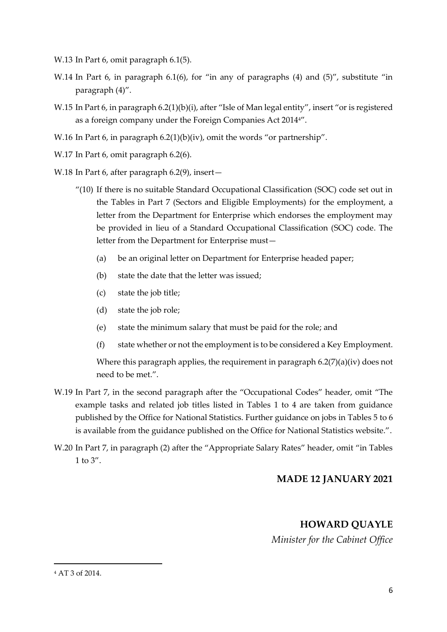W.13 In Part 6, omit paragraph 6.1(5).

- W.14 In Part 6, in paragraph 6.1(6), for "in any of paragraphs (4) and (5)", substitute "in paragraph (4)".
- W.15 In Part 6, in paragraph 6.2(1)(b)(i), after "Isle of Man legal entity", insert "or is registered as a foreign company under the Foreign Companies Act 20144".
- W.16 In Part 6, in paragraph 6.2(1)(b)(iv), omit the words "or partnership".
- W.17 In Part 6, omit paragraph 6.2(6).
- W.18 In Part 6, after paragraph 6.2(9), insert—
	- "(10) If there is no suitable Standard Occupational Classification (SOC) code set out in the Tables in Part 7 (Sectors and Eligible Employments) for the employment, a letter from the Department for Enterprise which endorses the employment may be provided in lieu of a Standard Occupational Classification (SOC) code. The letter from the Department for Enterprise must—
		- (a) be an original letter on Department for Enterprise headed paper;
		- (b) state the date that the letter was issued;
		- (c) state the job title;
		- (d) state the job role;
		- (e) state the minimum salary that must be paid for the role; and
		- (f) state whether or not the employment is to be considered a Key Employment.

Where this paragraph applies, the requirement in paragraph  $6.2(7)(a)(iv)$  does not need to be met.".

- W.19 In Part 7, in the second paragraph after the "Occupational Codes" header, omit "The example tasks and related job titles listed in Tables 1 to 4 are taken from guidance published by the Office for National Statistics. Further guidance on jobs in Tables 5 to 6 is available from the guidance published on the Office for National Statistics website.".
- W.20 In Part 7, in paragraph (2) after the "Appropriate Salary Rates" header, omit "in Tables 1 to  $3''$ .

#### **MADE 12 JANUARY 2021**

## **HOWARD QUAYLE**

*Minister for the Cabinet Office*

<sup>4</sup> AT 3 of 2014.

 $\overline{a}$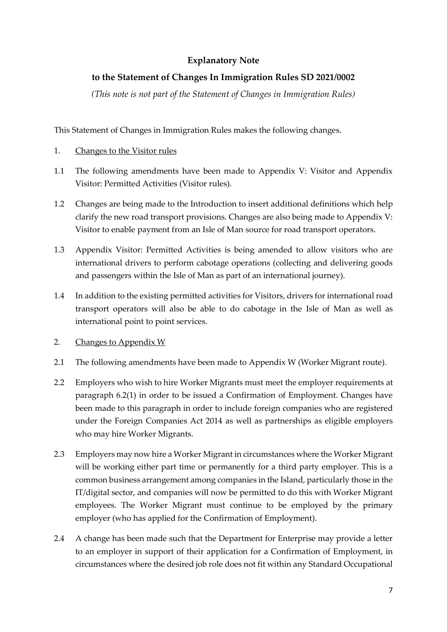### **Explanatory Note**

### **to the Statement of Changes In Immigration Rules SD 2021/0002**

*(This note is not part of the Statement of Changes in Immigration Rules)*

This Statement of Changes in Immigration Rules makes the following changes.

- 1. Changes to the Visitor rules
- 1.1 The following amendments have been made to Appendix V: Visitor and Appendix Visitor: Permitted Activities (Visitor rules).
- 1.2 Changes are being made to the Introduction to insert additional definitions which help clarify the new road transport provisions. Changes are also being made to Appendix V: Visitor to enable payment from an Isle of Man source for road transport operators.
- 1.3 Appendix Visitor: Permitted Activities is being amended to allow visitors who are international drivers to perform cabotage operations (collecting and delivering goods and passengers within the Isle of Man as part of an international journey).
- 1.4 In addition to the existing permitted activities for Visitors, drivers for international road transport operators will also be able to do cabotage in the Isle of Man as well as international point to point services.
- 2. Changes to Appendix W
- 2.1 The following amendments have been made to Appendix W (Worker Migrant route).
- 2.2 Employers who wish to hire Worker Migrants must meet the employer requirements at paragraph 6.2(1) in order to be issued a Confirmation of Employment. Changes have been made to this paragraph in order to include foreign companies who are registered under the Foreign Companies Act 2014 as well as partnerships as eligible employers who may hire Worker Migrants.
- 2.3 Employers may now hire a Worker Migrant in circumstances where the Worker Migrant will be working either part time or permanently for a third party employer. This is a common business arrangement among companies in the Island, particularly those in the IT/digital sector, and companies will now be permitted to do this with Worker Migrant employees. The Worker Migrant must continue to be employed by the primary employer (who has applied for the Confirmation of Employment).
- 2.4 A change has been made such that the Department for Enterprise may provide a letter to an employer in support of their application for a Confirmation of Employment, in circumstances where the desired job role does not fit within any Standard Occupational